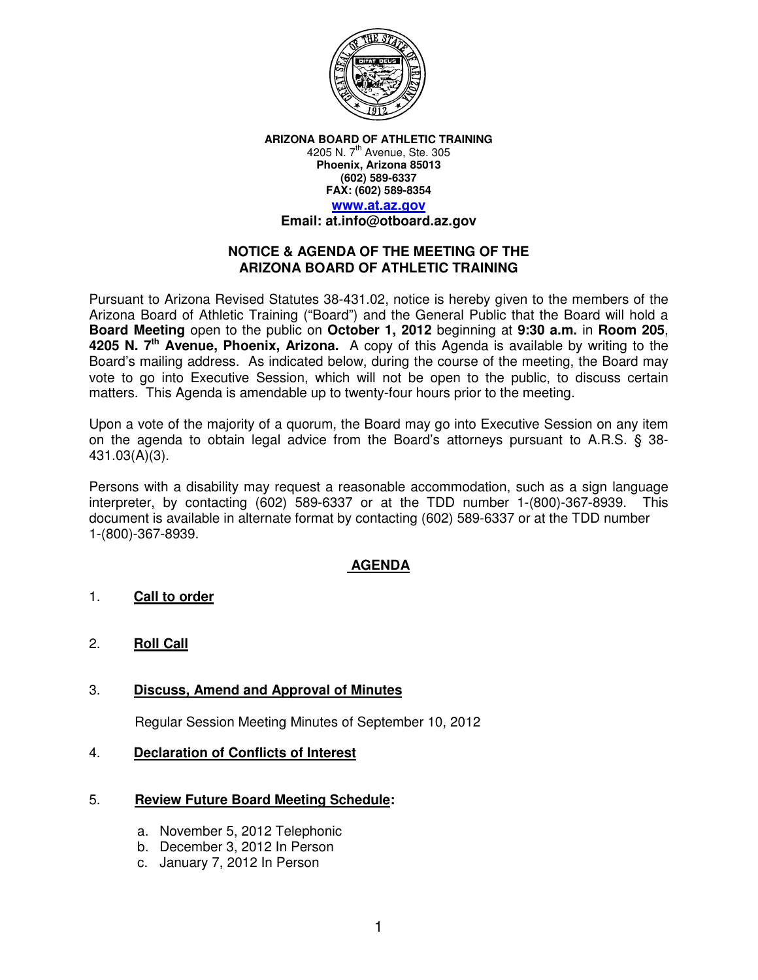

**ARIZONA BOARD OF ATHLETIC TRAINING**  4205 N. 7<sup>th</sup> Avenue, Ste. 305 **Phoenix, Arizona 85013 (602) 589-6337 FAX: (602) 589-8354 www.at.az.gov Email: at.info@otboard.az.gov** 

# **NOTICE & AGENDA OF THE MEETING OF THE ARIZONA BOARD OF ATHLETIC TRAINING**

Pursuant to Arizona Revised Statutes 38-431.02, notice is hereby given to the members of the Arizona Board of Athletic Training ("Board") and the General Public that the Board will hold a **Board Meeting** open to the public on **October 1, 2012** beginning at **9:30 a.m.** in **Room 205**, **4205 N. 7th Avenue, Phoenix, Arizona.** A copy of this Agenda is available by writing to the Board's mailing address. As indicated below, during the course of the meeting, the Board may vote to go into Executive Session, which will not be open to the public, to discuss certain matters. This Agenda is amendable up to twenty-four hours prior to the meeting.

Upon a vote of the majority of a quorum, the Board may go into Executive Session on any item on the agenda to obtain legal advice from the Board's attorneys pursuant to A.R.S. § 38- 431.03(A)(3).

Persons with a disability may request a reasonable accommodation, such as a sign language interpreter, by contacting (602) 589-6337 or at the TDD number 1-(800)-367-8939. This document is available in alternate format by contacting (602) 589-6337 or at the TDD number 1-(800)-367-8939.

# **AGENDA**

## 1. **Call to order**

2. **Roll Call** 

# 3. **Discuss, Amend and Approval of Minutes**

Regular Session Meeting Minutes of September 10, 2012

## 4. **Declaration of Conflicts of Interest**

## 5. **Review Future Board Meeting Schedule:**

- a. November 5, 2012 Telephonic
- b. December 3, 2012 In Person
- c. January 7, 2012 In Person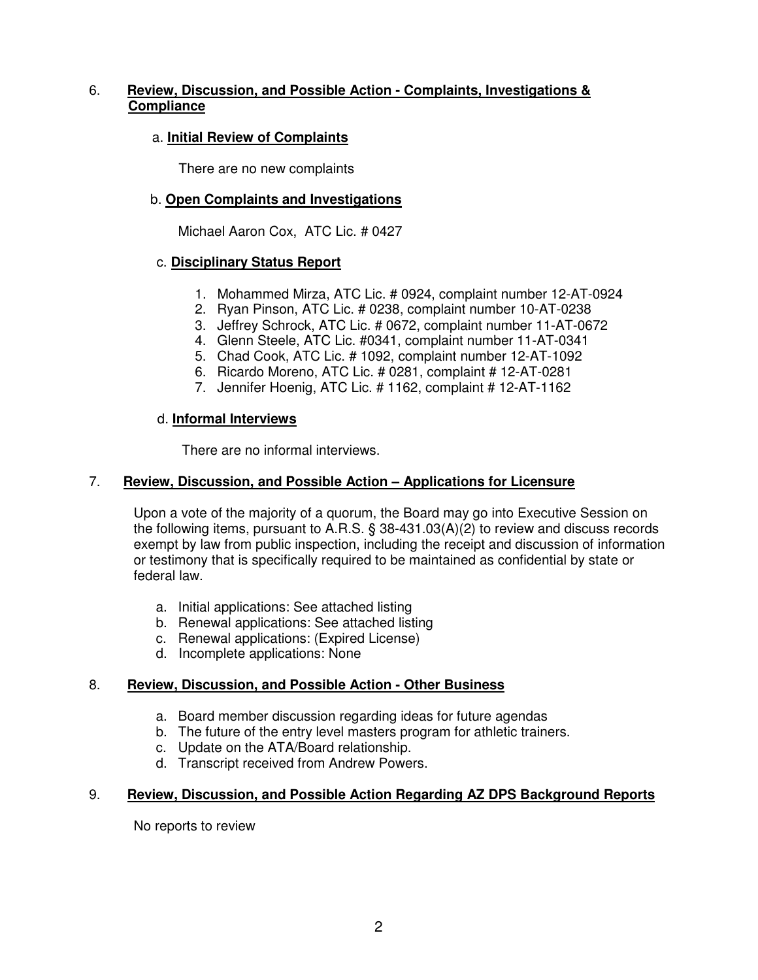# 6. **Review, Discussion, and Possible Action - Complaints, Investigations & Compliance**

## a. **Initial Review of Complaints**

There are no new complaints

## b. **Open Complaints and Investigations**

Michael Aaron Cox, ATC Lic. # 0427

### c. **Disciplinary Status Report**

- 1. Mohammed Mirza, ATC Lic. # 0924, complaint number 12-AT-0924
- 2. Ryan Pinson, ATC Lic. # 0238, complaint number 10-AT-0238
- 3. Jeffrey Schrock, ATC Lic. # 0672, complaint number 11-AT-0672
- 4. Glenn Steele, ATC Lic. #0341, complaint number 11-AT-0341
- 5. Chad Cook, ATC Lic. # 1092, complaint number 12-AT-1092
- 6. Ricardo Moreno, ATC Lic. # 0281, complaint # 12-AT-0281
- 7. Jennifer Hoenig, ATC Lic. # 1162, complaint # 12-AT-1162

### d. **Informal Interviews**

There are no informal interviews.

### 7. **Review, Discussion, and Possible Action – Applications for Licensure**

Upon a vote of the majority of a quorum, the Board may go into Executive Session on the following items, pursuant to A.R.S. § 38-431.03(A)(2) to review and discuss records exempt by law from public inspection, including the receipt and discussion of information or testimony that is specifically required to be maintained as confidential by state or federal law.

- a. Initial applications: See attached listing
- b. Renewal applications: See attached listing
- c. Renewal applications: (Expired License)
- d. Incomplete applications: None

### 8. **Review, Discussion, and Possible Action - Other Business**

- a. Board member discussion regarding ideas for future agendas
- b. The future of the entry level masters program for athletic trainers.
- c. Update on the ATA/Board relationship.
- d. Transcript received from Andrew Powers.

### 9. **Review, Discussion, and Possible Action Regarding AZ DPS Background Reports**

No reports to review